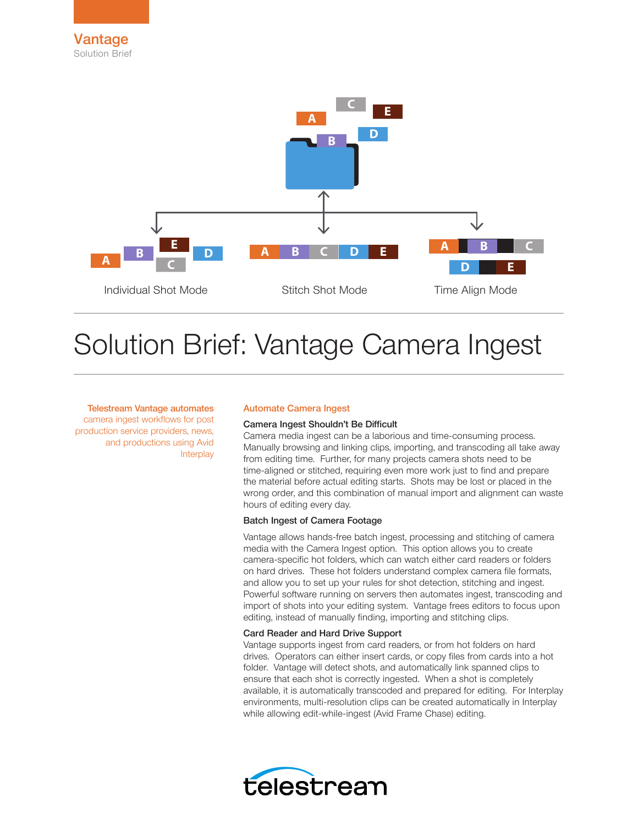

# Solution Brief: Vantage Camera Ingest

Telestream Vantage automates camera ingest workflows for post production service providers, news, and productions using Avid **Interplay** 

## Automate Camera Ingest

#### Camera Ingest Shouldn't Be Difficult

Camera media ingest can be a laborious and time-consuming process. Manually browsing and linking clips, importing, and transcoding all take away from editing time. Further, for many projects camera shots need to be time-aligned or stitched, requiring even more work just to find and prepare the material before actual editing starts. Shots may be lost or placed in the wrong order, and this combination of manual import and alignment can waste hours of editing every day.

## Batch Ingest of Camera Footage

Vantage allows hands-free batch ingest, processing and stitching of camera media with the Camera Ingest option. This option allows you to create camera-specific hot folders, which can watch either card readers or folders on hard drives. These hot folders understand complex camera file formats, and allow you to set up your rules for shot detection, stitching and ingest. Powerful software running on servers then automates ingest, transcoding and import of shots into your editing system. Vantage frees editors to focus upon editing, instead of manually finding, importing and stitching clips.

# Card Reader and Hard Drive Support

Vantage supports ingest from card readers, or from hot folders on hard drives. Operators can either insert cards, or copy files from cards into a hot folder. Vantage will detect shots, and automatically link spanned clips to ensure that each shot is correctly ingested. When a shot is completely available, it is automatically transcoded and prepared for editing. For Interplay environments, multi-resolution clips can be created automatically in Interplay while allowing edit-while-ingest (Avid Frame Chase) editing.

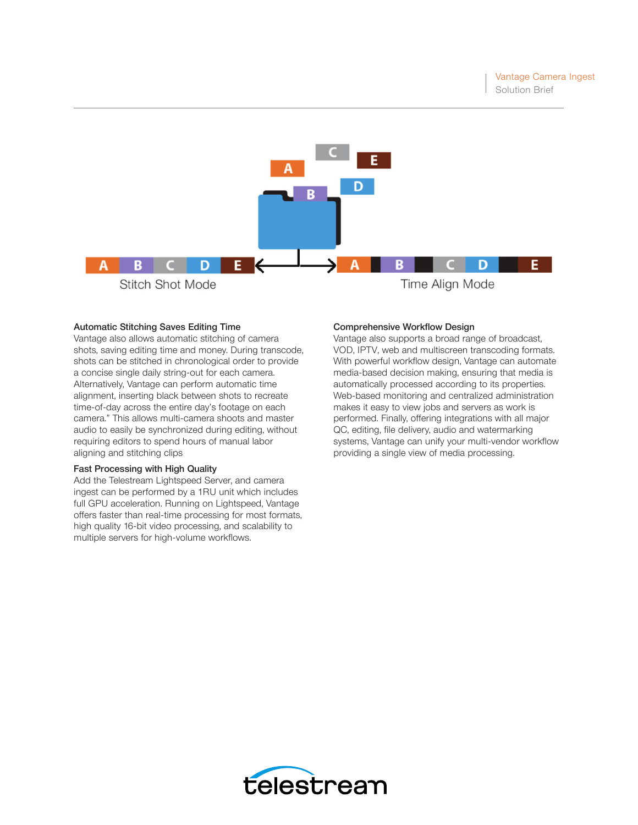

## Automatic Stitching Saves Editing Time

Vantage also allows automatic stitching of camera shots, saving editing time and money. During transcode, shots can be stitched in chronological order to provide a concise single daily string-out for each camera. Alternatively, Vantage can perform automatic time alignment, inserting black between shots to recreate time-of-day across the entire day's footage on each camera." This allows multi-camera shoots and master audio to easily be synchronized during editing, without requiring editors to spend hours of manual labor aligning and stitching clips

## Fast Processing with High Quality

Add the Telestream Lightspeed Server, and camera ingest can be performed by a 1RU unit which includes full GPU acceleration. Running on Lightspeed, Vantage offers faster than real-time processing for most formats, high quality 16-bit video processing, and scalability to multiple servers for high-volume workflows.

#### Comprehensive Workflow Design

Vantage also supports a broad range of broadcast, VOD, IPTV, web and multiscreen transcoding formats. With powerful workflow design, Vantage can automate media-based decision making, ensuring that media is automatically processed according to its properties. Web-based monitoring and centralized administration makes it easy to view jobs and servers as work is performed. Finally, offering integrations with all major QC, editing, file delivery, audio and watermarking systems, Vantage can unify your multi-vendor workflow providing a single view of media processing.